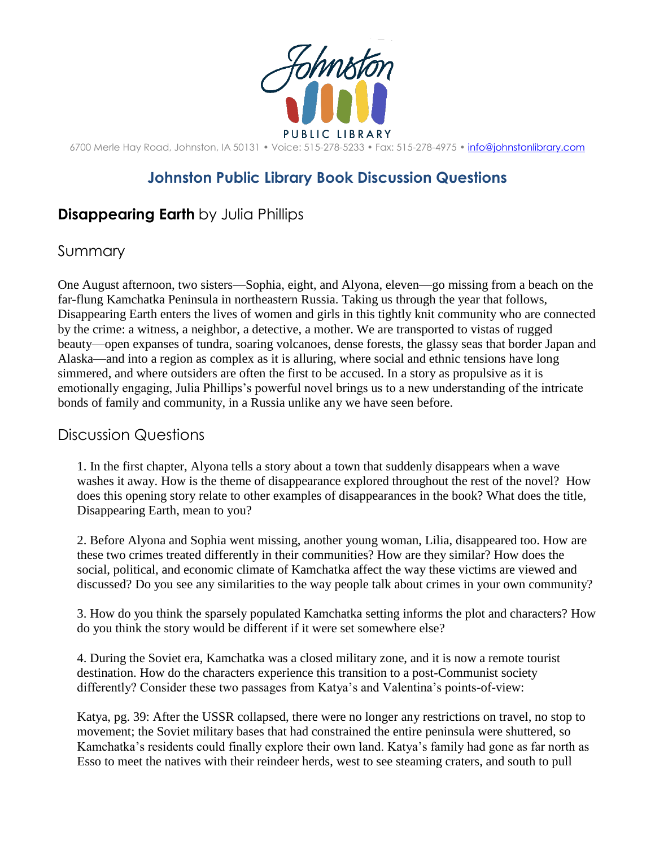

6700 Merle Hay Road, Johnston, IA 50131 • Voice: 515-278-5233 • Fax: 515-278-4975 • [info@johnstonlibrary.com](mailto:info@johnstonlibrary.com)

## **Johnston Public Library Book Discussion Questions**

## **Disappearing Earth** by Julia Phillips

## Summary

One August afternoon, two sisters—Sophia, eight, and Alyona, eleven—go missing from a beach on the far-flung Kamchatka Peninsula in northeastern Russia. Taking us through the year that follows, Disappearing Earth enters the lives of women and girls in this tightly knit community who are connected by the crime: a witness, a neighbor, a detective, a mother. We are transported to vistas of rugged beauty—open expanses of tundra, soaring volcanoes, dense forests, the glassy seas that border Japan and Alaska—and into a region as complex as it is alluring, where social and ethnic tensions have long simmered, and where outsiders are often the first to be accused. In a story as propulsive as it is emotionally engaging, Julia Phillips's powerful novel brings us to a new understanding of the intricate bonds of family and community, in a Russia unlike any we have seen before.

## Discussion Questions

1. In the first chapter, Alyona tells a story about a town that suddenly disappears when a wave washes it away. How is the theme of disappearance explored throughout the rest of the novel? How does this opening story relate to other examples of disappearances in the book? What does the title, Disappearing Earth, mean to you?

2. Before Alyona and Sophia went missing, another young woman, Lilia, disappeared too. How are these two crimes treated differently in their communities? How are they similar? How does the social, political, and economic climate of Kamchatka affect the way these victims are viewed and discussed? Do you see any similarities to the way people talk about crimes in your own community?

3. How do you think the sparsely populated Kamchatka setting informs the plot and characters? How do you think the story would be different if it were set somewhere else?

4. During the Soviet era, Kamchatka was a closed military zone, and it is now a remote tourist destination. How do the characters experience this transition to a post-Communist society differently? Consider these two passages from Katya's and Valentina's points-of-view:

Katya, pg. 39: After the USSR collapsed, there were no longer any restrictions on travel, no stop to movement; the Soviet military bases that had constrained the entire peninsula were shuttered, so Kamchatka's residents could finally explore their own land. Katya's family had gone as far north as Esso to meet the natives with their reindeer herds, west to see steaming craters, and south to pull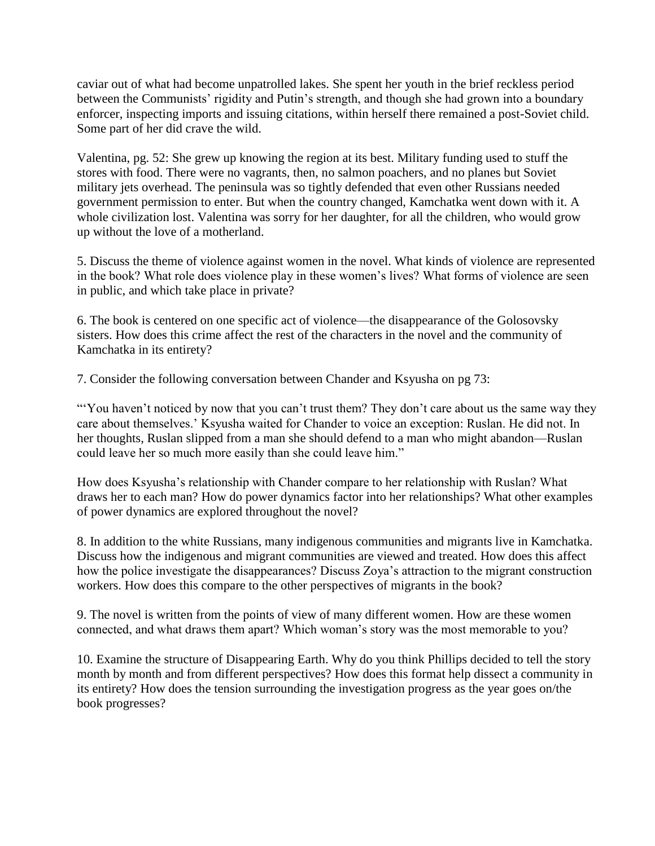caviar out of what had become unpatrolled lakes. She spent her youth in the brief reckless period between the Communists' rigidity and Putin's strength, and though she had grown into a boundary enforcer, inspecting imports and issuing citations, within herself there remained a post-Soviet child. Some part of her did crave the wild.

Valentina, pg. 52: She grew up knowing the region at its best. Military funding used to stuff the stores with food. There were no vagrants, then, no salmon poachers, and no planes but Soviet military jets overhead. The peninsula was so tightly defended that even other Russians needed government permission to enter. But when the country changed, Kamchatka went down with it. A whole civilization lost. Valentina was sorry for her daughter, for all the children, who would grow up without the love of a motherland.

5. Discuss the theme of violence against women in the novel. What kinds of violence are represented in the book? What role does violence play in these women's lives? What forms of violence are seen in public, and which take place in private?

6. The book is centered on one specific act of violence—the disappearance of the Golosovsky sisters. How does this crime affect the rest of the characters in the novel and the community of Kamchatka in its entirety?

7. Consider the following conversation between Chander and Ksyusha on pg 73:

"You haven't noticed by now that you can't trust them? They don't care about us the same way they care about themselves.' Ksyusha waited for Chander to voice an exception: Ruslan. He did not. In her thoughts, Ruslan slipped from a man she should defend to a man who might abandon—Ruslan could leave her so much more easily than she could leave him."

How does Ksyusha's relationship with Chander compare to her relationship with Ruslan? What draws her to each man? How do power dynamics factor into her relationships? What other examples of power dynamics are explored throughout the novel?

8. In addition to the white Russians, many indigenous communities and migrants live in Kamchatka. Discuss how the indigenous and migrant communities are viewed and treated. How does this affect how the police investigate the disappearances? Discuss Zoya's attraction to the migrant construction workers. How does this compare to the other perspectives of migrants in the book?

9. The novel is written from the points of view of many different women. How are these women connected, and what draws them apart? Which woman's story was the most memorable to you?

10. Examine the structure of Disappearing Earth. Why do you think Phillips decided to tell the story month by month and from different perspectives? How does this format help dissect a community in its entirety? How does the tension surrounding the investigation progress as the year goes on/the book progresses?